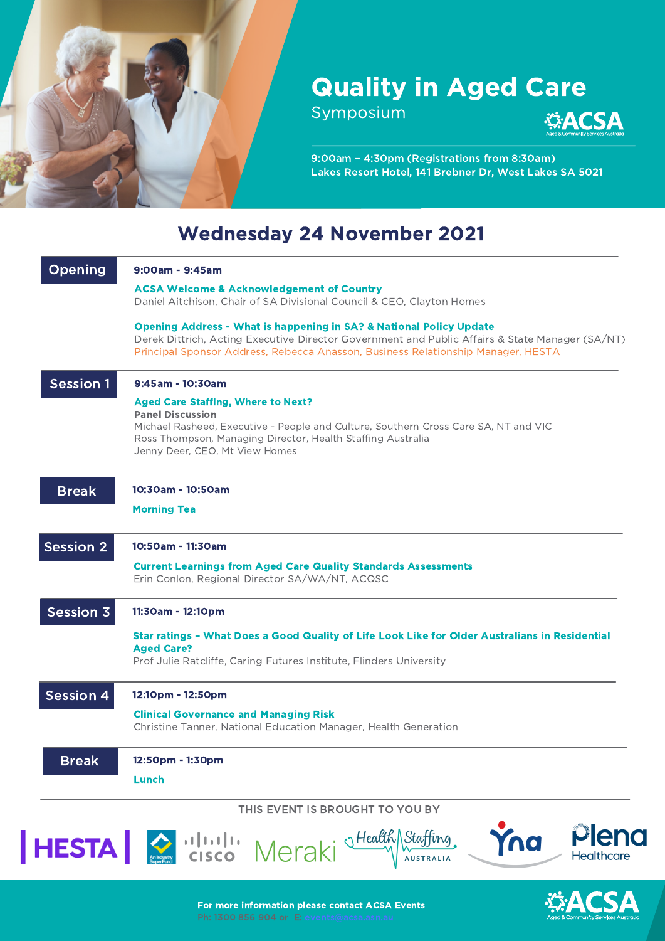

## Quality in Aged Care

Symposium



9:00am – 4:30pm (Registrations from 8:30am) Lakes Resort Hotel, 141 Brebner Dr, West Lakes SA 5021

## Wednesday 24 November 2021

|                  | <b>ACSA Welcome &amp; Acknowledgement of Country</b><br>Daniel Aitchison, Chair of SA Divisional Council & CEO, Clayton Homes                                                                                                                                         |
|------------------|-----------------------------------------------------------------------------------------------------------------------------------------------------------------------------------------------------------------------------------------------------------------------|
|                  | <b>Opening Address - What is happening in SA? &amp; National Policy Update</b><br>Derek Dittrich, Acting Executive Director Government and Public Affairs & State Manager (SA/NT)<br>Principal Sponsor Address, Rebecca Anasson, Business Relationship Manager, HESTA |
| <b>Session 1</b> | 9:45am - 10:30am                                                                                                                                                                                                                                                      |
|                  | <b>Aged Care Staffing, Where to Next?</b><br><b>Panel Discussion</b><br>Michael Rasheed, Executive - People and Culture, Southern Cross Care SA, NT and VIC<br>Ross Thompson, Managing Director, Health Staffing Australia<br>Jenny Deer, CEO, Mt View Homes          |
| <b>Break</b>     | 10:30am - 10:50am                                                                                                                                                                                                                                                     |
|                  | <b>Morning Tea</b>                                                                                                                                                                                                                                                    |
| <b>Session 2</b> | 10:50am - 11:30am                                                                                                                                                                                                                                                     |
|                  | <b>Current Learnings from Aged Care Quality Standards Assessments</b><br>Erin Conlon, Regional Director SA/WA/NT, ACQSC                                                                                                                                               |
| Session 3        | 11:30am - 12:10pm                                                                                                                                                                                                                                                     |
|                  | Star ratings - What Does a Good Quality of Life Look Like for Older Australians in Residential<br><b>Aged Care?</b><br>Prof Julie Ratcliffe, Caring Futures Institute, Flinders University                                                                            |
| <b>Session 4</b> | 12:10pm - 12:50pm                                                                                                                                                                                                                                                     |
|                  | <b>Clinical Governance and Managing Risk</b><br>Christine Tanner, National Education Manager, Health Generation                                                                                                                                                       |
| <b>Break</b>     | 12:50pm - 1:30pm<br>Lunch                                                                                                                                                                                                                                             |
|                  | THIS EVENT IS BROUGHT TO YOU BY                                                                                                                                                                                                                                       |
|                  | Plenc<br>Yna<br>HESTA SILVIIII Meraki Staffing.<br><b>Healthcare</b>                                                                                                                                                                                                  |